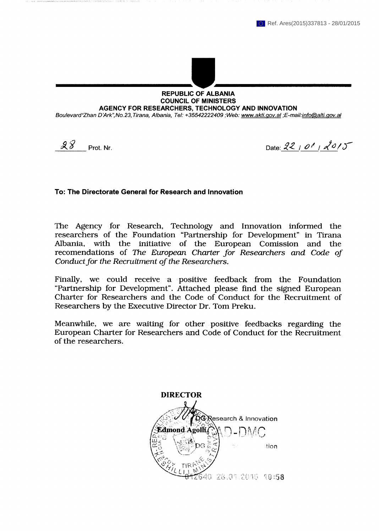

## **REPUBLIC OF ALBANIA COUNCIL OF MINISTERS** AGENCY FOR RESEARCHERS. TECHNOLOGY AND INNOVATION

Boulevard"Zhan D'Ark", No. 23, Tirana, Albania, Tel: +35542222409 ; Web: www.akti.gov.al ; E-mail:info@alti.gov.al

 $28$ Prot. Nr.

Date: 22 | 01 | 2015

## To: The Directorate General for Research and Innovation

The Agency for Research, Technology and Innovation informed the researchers of the Foundation "Partnership for Development" in Tirana Albania, with the initiative of the European Comission and the recomendations of The European Charter for Researchers and Code of Conduct for the Recruitment of the Researchers.

Finally, we could receive a positive feedback from the Foundation "Partnership for Development". Attached please find the signed European Charter for Researchers and the Code of Conduct for the Recruitment of Researchers by the Executive Director Dr. Tom Preku.

Meanwhile, we are waiting for other positive feedbacks regarding the European Charter for Researchers and Code of Conduct for the Recruitment of the researchers.

**DIRECTOR CResearch & Innovation Edmond Agolli** tion 0 28.04.2045 40:58